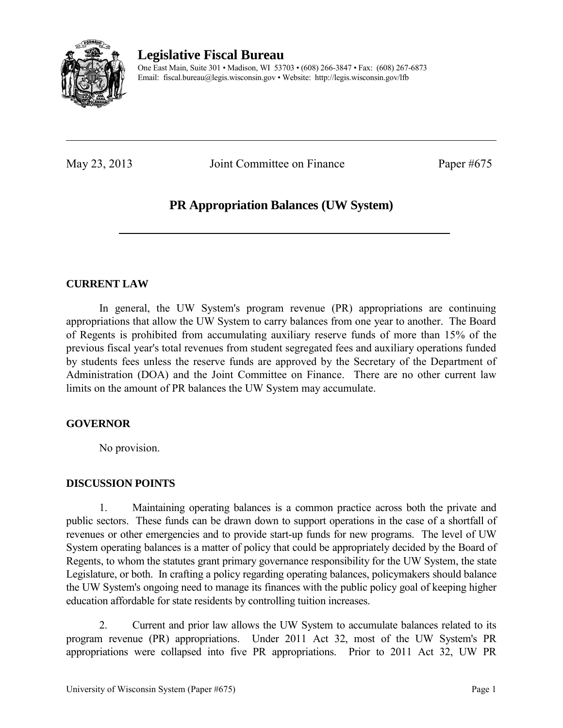

**Legislative Fiscal Bureau** 

One East Main, Suite 301 • Madison, WI 53703 • (608) 266-3847 • Fax: (608) 267-6873 Email: fiscal.bureau@legis.wisconsin.gov • Website:<http://legis.wisconsin.gov/lfb>

May 23, 2013 Joint Committee on Finance Paper #675

# **PR Appropriation Balances (UW System)**

## **CURRENT LAW**

 In general, the UW System's program revenue (PR) appropriations are continuing appropriations that allow the UW System to carry balances from one year to another. The Board of Regents is prohibited from accumulating auxiliary reserve funds of more than 15% of the previous fiscal year's total revenues from student segregated fees and auxiliary operations funded by students fees unless the reserve funds are approved by the Secretary of the Department of Administration (DOA) and the Joint Committee on Finance. There are no other current law limits on the amount of PR balances the UW System may accumulate.

# **GOVERNOR**

No provision.

# **DISCUSSION POINTS**

1. Maintaining operating balances is a common practice across both the private and public sectors. These funds can be drawn down to support operations in the case of a shortfall of revenues or other emergencies and to provide start-up funds for new programs. The level of UW System operating balances is a matter of policy that could be appropriately decided by the Board of Regents, to whom the statutes grant primary governance responsibility for the UW System, the state Legislature, or both. In crafting a policy regarding operating balances, policymakers should balance the UW System's ongoing need to manage its finances with the public policy goal of keeping higher education affordable for state residents by controlling tuition increases.

2. Current and prior law allows the UW System to accumulate balances related to its program revenue (PR) appropriations. Under 2011 Act 32, most of the UW System's PR appropriations were collapsed into five PR appropriations. Prior to 2011 Act 32, UW PR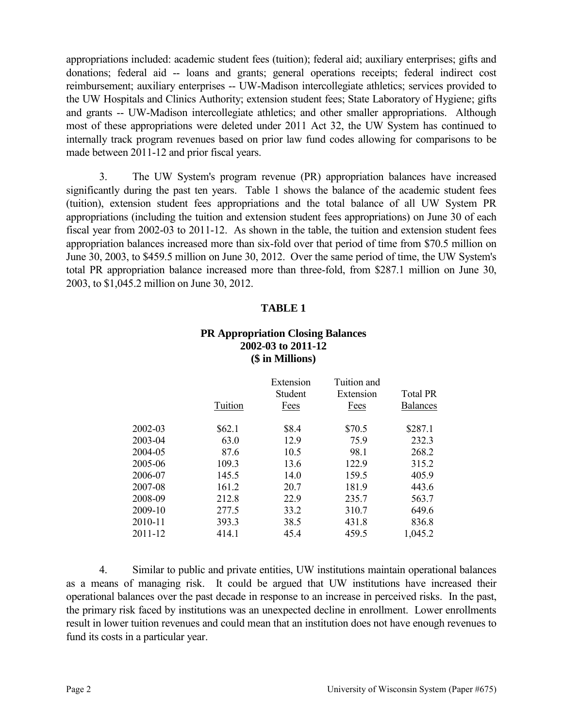appropriations included: academic student fees (tuition); federal aid; auxiliary enterprises; gifts and donations; federal aid -- loans and grants; general operations receipts; federal indirect cost reimbursement; auxiliary enterprises -- UW-Madison intercollegiate athletics; services provided to the UW Hospitals and Clinics Authority; extension student fees; State Laboratory of Hygiene; gifts and grants -- UW-Madison intercollegiate athletics; and other smaller appropriations. Although most of these appropriations were deleted under 2011 Act 32, the UW System has continued to internally track program revenues based on prior law fund codes allowing for comparisons to be made between 2011-12 and prior fiscal years.

3. The UW System's program revenue (PR) appropriation balances have increased significantly during the past ten years. Table 1 shows the balance of the academic student fees (tuition), extension student fees appropriations and the total balance of all UW System PR appropriations (including the tuition and extension student fees appropriations) on June 30 of each fiscal year from 2002-03 to 2011-12. As shown in the table, the tuition and extension student fees appropriation balances increased more than six-fold over that period of time from \$70.5 million on June 30, 2003, to \$459.5 million on June 30, 2012. Over the same period of time, the UW System's total PR appropriation balance increased more than three-fold, from \$287.1 million on June 30, 2003, to \$1,045.2 million on June 30, 2012.

#### **TABLE 1**

### **PR Appropriation Closing Balances 2002-03 to 2011-12 (\$ in Millions)**

|         | Tuition | Extension<br>Student<br>Fees | Tuition and<br>Extension<br>Fees | <b>Total PR</b><br><b>Balances</b> |
|---------|---------|------------------------------|----------------------------------|------------------------------------|
| 2002-03 | \$62.1  | \$8.4                        | \$70.5                           | \$287.1                            |
| 2003-04 | 63.0    | 12.9                         | 75.9                             | 232.3                              |
| 2004-05 | 87.6    | 10.5                         | 98.1                             | 268.2                              |
| 2005-06 | 109.3   | 13.6                         | 122.9                            | 315.2                              |
| 2006-07 | 145.5   | 14.0                         | 159.5                            | 405.9                              |
| 2007-08 | 161.2   | 20.7                         | 181.9                            | 443.6                              |
| 2008-09 | 212.8   | 22.9                         | 235.7                            | 563.7                              |
| 2009-10 | 277.5   | 33.2                         | 310.7                            | 649.6                              |
| 2010-11 | 393.3   | 38.5                         | 431.8                            | 836.8                              |
| 2011-12 | 414.1   | 45.4                         | 459.5                            | 1,045.2                            |

4. Similar to public and private entities, UW institutions maintain operational balances as a means of managing risk. It could be argued that UW institutions have increased their operational balances over the past decade in response to an increase in perceived risks. In the past, the primary risk faced by institutions was an unexpected decline in enrollment. Lower enrollments result in lower tuition revenues and could mean that an institution does not have enough revenues to fund its costs in a particular year.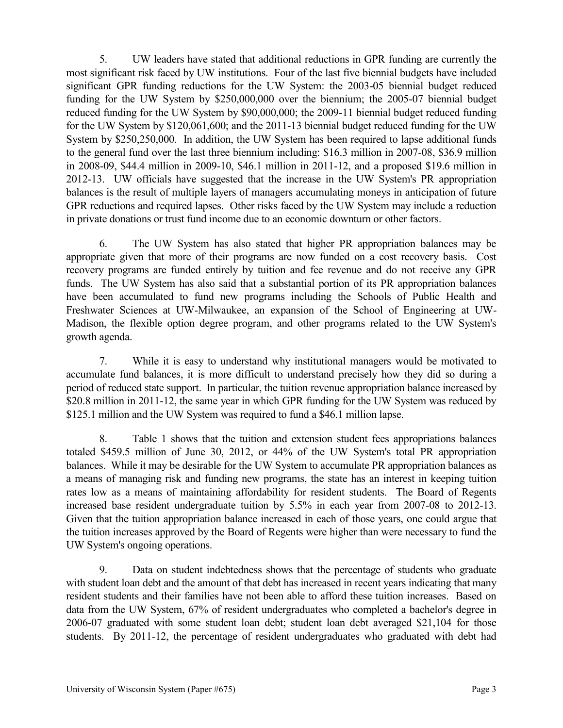5. UW leaders have stated that additional reductions in GPR funding are currently the most significant risk faced by UW institutions. Four of the last five biennial budgets have included significant GPR funding reductions for the UW System: the 2003-05 biennial budget reduced funding for the UW System by \$250,000,000 over the biennium; the 2005-07 biennial budget reduced funding for the UW System by \$90,000,000; the 2009-11 biennial budget reduced funding for the UW System by \$120,061,600; and the 2011-13 biennial budget reduced funding for the UW System by \$250,250,000. In addition, the UW System has been required to lapse additional funds to the general fund over the last three biennium including: \$16.3 million in 2007-08, \$36.9 million in 2008-09, \$44.4 million in 2009-10, \$46.1 million in 2011-12, and a proposed \$19.6 million in 2012-13. UW officials have suggested that the increase in the UW System's PR appropriation balances is the result of multiple layers of managers accumulating moneys in anticipation of future GPR reductions and required lapses. Other risks faced by the UW System may include a reduction in private donations or trust fund income due to an economic downturn or other factors.

6. The UW System has also stated that higher PR appropriation balances may be appropriate given that more of their programs are now funded on a cost recovery basis. Cost recovery programs are funded entirely by tuition and fee revenue and do not receive any GPR funds. The UW System has also said that a substantial portion of its PR appropriation balances have been accumulated to fund new programs including the Schools of Public Health and Freshwater Sciences at UW-Milwaukee, an expansion of the School of Engineering at UW-Madison, the flexible option degree program, and other programs related to the UW System's growth agenda.

7. While it is easy to understand why institutional managers would be motivated to accumulate fund balances, it is more difficult to understand precisely how they did so during a period of reduced state support. In particular, the tuition revenue appropriation balance increased by \$20.8 million in 2011-12, the same year in which GPR funding for the UW System was reduced by \$125.1 million and the UW System was required to fund a \$46.1 million lapse.

8. Table 1 shows that the tuition and extension student fees appropriations balances totaled \$459.5 million of June 30, 2012, or 44% of the UW System's total PR appropriation balances. While it may be desirable for the UW System to accumulate PR appropriation balances as a means of managing risk and funding new programs, the state has an interest in keeping tuition rates low as a means of maintaining affordability for resident students. The Board of Regents increased base resident undergraduate tuition by 5.5% in each year from 2007-08 to 2012-13. Given that the tuition appropriation balance increased in each of those years, one could argue that the tuition increases approved by the Board of Regents were higher than were necessary to fund the UW System's ongoing operations.

9. Data on student indebtedness shows that the percentage of students who graduate with student loan debt and the amount of that debt has increased in recent years indicating that many resident students and their families have not been able to afford these tuition increases. Based on data from the UW System, 67% of resident undergraduates who completed a bachelor's degree in 2006-07 graduated with some student loan debt; student loan debt averaged \$21,104 for those students. By 2011-12, the percentage of resident undergraduates who graduated with debt had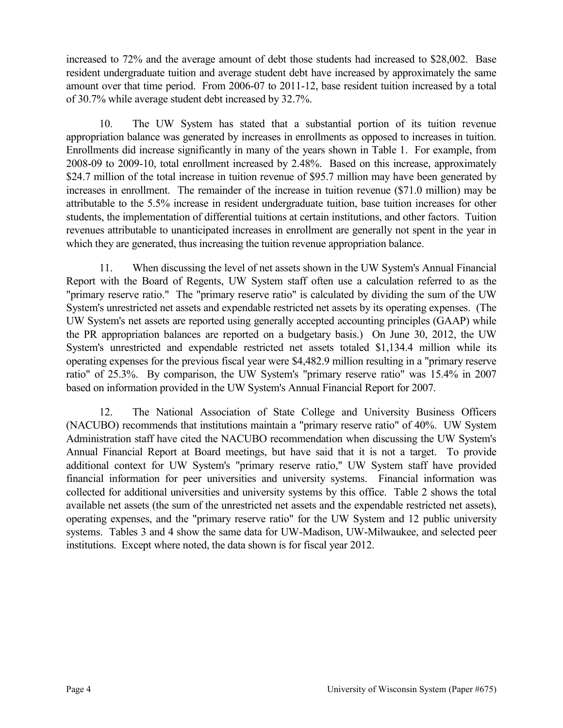increased to 72% and the average amount of debt those students had increased to \$28,002. Base resident undergraduate tuition and average student debt have increased by approximately the same amount over that time period. From 2006-07 to 2011-12, base resident tuition increased by a total of 30.7% while average student debt increased by 32.7%.

10. The UW System has stated that a substantial portion of its tuition revenue appropriation balance was generated by increases in enrollments as opposed to increases in tuition. Enrollments did increase significantly in many of the years shown in Table 1. For example, from 2008-09 to 2009-10, total enrollment increased by 2.48%. Based on this increase, approximately \$24.7 million of the total increase in tuition revenue of \$95.7 million may have been generated by increases in enrollment. The remainder of the increase in tuition revenue (\$71.0 million) may be attributable to the 5.5% increase in resident undergraduate tuition, base tuition increases for other students, the implementation of differential tuitions at certain institutions, and other factors. Tuition revenues attributable to unanticipated increases in enrollment are generally not spent in the year in which they are generated, thus increasing the tuition revenue appropriation balance.

11. When discussing the level of net assets shown in the UW System's Annual Financial Report with the Board of Regents, UW System staff often use a calculation referred to as the "primary reserve ratio." The "primary reserve ratio" is calculated by dividing the sum of the UW System's unrestricted net assets and expendable restricted net assets by its operating expenses. (The UW System's net assets are reported using generally accepted accounting principles (GAAP) while the PR appropriation balances are reported on a budgetary basis.) On June 30, 2012, the UW System's unrestricted and expendable restricted net assets totaled \$1,134.4 million while its operating expenses for the previous fiscal year were \$4,482.9 million resulting in a "primary reserve ratio" of 25.3%. By comparison, the UW System's "primary reserve ratio" was 15.4% in 2007 based on information provided in the UW System's Annual Financial Report for 2007.

12. The National Association of State College and University Business Officers (NACUBO) recommends that institutions maintain a "primary reserve ratio" of 40%. UW System Administration staff have cited the NACUBO recommendation when discussing the UW System's Annual Financial Report at Board meetings, but have said that it is not a target. To provide additional context for UW System's "primary reserve ratio," UW System staff have provided financial information for peer universities and university systems. Financial information was collected for additional universities and university systems by this office. Table 2 shows the total available net assets (the sum of the unrestricted net assets and the expendable restricted net assets), operating expenses, and the "primary reserve ratio" for the UW System and 12 public university systems. Tables 3 and 4 show the same data for UW-Madison, UW-Milwaukee, and selected peer institutions. Except where noted, the data shown is for fiscal year 2012.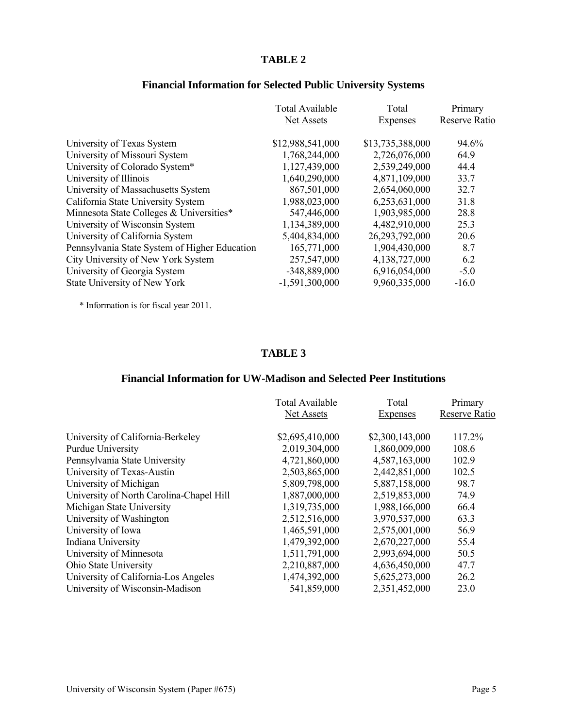# **Financial Information for Selected Public University Systems**

| <b>Total Available</b> | Total            | Primary<br>Reserve Ratio |
|------------------------|------------------|--------------------------|
|                        |                  |                          |
| \$12,988,541,000       | \$13,735,388,000 | 94.6%                    |
| 1,768,244,000          | 2,726,076,000    | 64.9                     |
| 1,127,439,000          | 2,539,249,000    | 44.4                     |
| 1,640,290,000          | 4,871,109,000    | 33.7                     |
| 867,501,000            | 2,654,060,000    | 32.7                     |
| 1,988,023,000          | 6,253,631,000    | 31.8                     |
| 547,446,000            | 1,903,985,000    | 28.8                     |
| 1,134,389,000          | 4,482,910,000    | 25.3                     |
| 5,404,834,000          | 26,293,792,000   | 20.6                     |
| 165,771,000            | 1,904,430,000    | 8.7                      |
| 257,547,000            | 4,138,727,000    | 6.2                      |
| -348,889,000           | 6,916,054,000    | $-5.0$                   |
| $-1,591,300,000$       | 9,960,335,000    | $-16.0$                  |
|                        | Net Assets       | Expenses                 |

\* Information is for fiscal year 2011.

#### **TABLE 3**

### **Financial Information for UW-Madison and Selected Peer Institutions**

|                                          | <b>Total Available</b> | Total           | Primary       |
|------------------------------------------|------------------------|-----------------|---------------|
|                                          | Net Assets             | <b>Expenses</b> | Reserve Ratio |
|                                          |                        |                 |               |
| University of California-Berkeley        | \$2,695,410,000        | \$2,300,143,000 | 117.2%        |
| <b>Purdue University</b>                 | 2,019,304,000          | 1,860,009,000   | 108.6         |
| Pennsylvania State University            | 4,721,860,000          | 4,587,163,000   | 102.9         |
| University of Texas-Austin               | 2,503,865,000          | 2,442,851,000   | 102.5         |
| University of Michigan                   | 5,809,798,000          | 5,887,158,000   | 98.7          |
| University of North Carolina-Chapel Hill | 1,887,000,000          | 2,519,853,000   | 74.9          |
| Michigan State University                | 1,319,735,000          | 1,988,166,000   | 66.4          |
| University of Washington                 | 2,512,516,000          | 3,970,537,000   | 63.3          |
| University of Iowa                       | 1,465,591,000          | 2,575,001,000   | 56.9          |
| Indiana University                       | 1,479,392,000          | 2,670,227,000   | 55.4          |
| University of Minnesota                  | 1,511,791,000          | 2,993,694,000   | 50.5          |
| Ohio State University                    | 2,210,887,000          | 4,636,450,000   | 47.7          |
| University of California-Los Angeles     | 1,474,392,000          | 5,625,273,000   | 26.2          |
| University of Wisconsin-Madison          | 541,859,000            | 2,351,452,000   | 23.0          |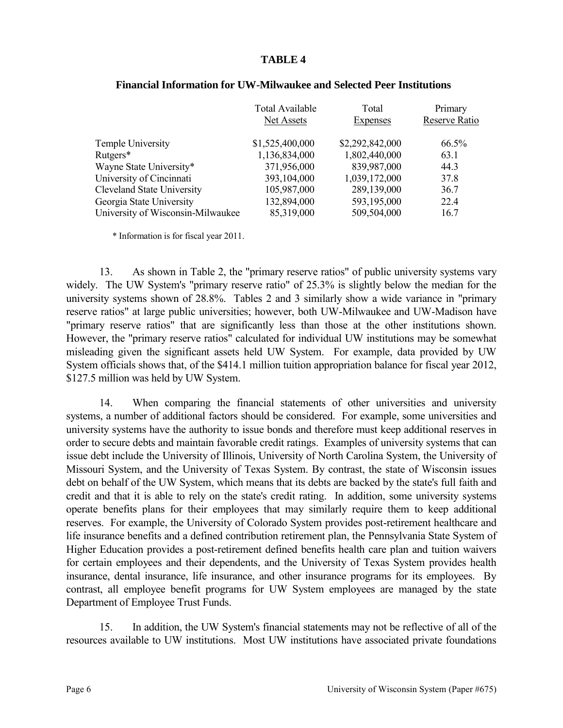|                                   | <b>Total Available</b> | Total           | Primary       |
|-----------------------------------|------------------------|-----------------|---------------|
|                                   | Net Assets             | Expenses        | Reserve Ratio |
| Temple University                 | \$1,525,400,000        | \$2,292,842,000 | 66.5%         |
| Rutgers*                          | 1,136,834,000          | 1,802,440,000   | 63.1          |
| Wayne State University*           | 371,956,000            | 839,987,000     | 44.3          |
| University of Cincinnati          | 393,104,000            | 1,039,172,000   | 37.8          |
| <b>Cleveland State University</b> | 105,987,000            | 289,139,000     | 36.7          |
| Georgia State University          | 132,894,000            | 593,195,000     | 22.4          |
| University of Wisconsin-Milwaukee | 85,319,000             | 509,504,000     | 16.7          |

#### **Financial Information for UW-Milwaukee and Selected Peer Institutions**

\* Information is for fiscal year 2011.

13. As shown in Table 2, the "primary reserve ratios" of public university systems vary widely. The UW System's "primary reserve ratio" of 25.3% is slightly below the median for the university systems shown of 28.8%. Tables 2 and 3 similarly show a wide variance in "primary reserve ratios" at large public universities; however, both UW-Milwaukee and UW-Madison have "primary reserve ratios" that are significantly less than those at the other institutions shown. However, the "primary reserve ratios" calculated for individual UW institutions may be somewhat misleading given the significant assets held UW System. For example, data provided by UW System officials shows that, of the \$414.1 million tuition appropriation balance for fiscal year 2012, \$127.5 million was held by UW System.

14. When comparing the financial statements of other universities and university systems, a number of additional factors should be considered. For example, some universities and university systems have the authority to issue bonds and therefore must keep additional reserves in order to secure debts and maintain favorable credit ratings. Examples of university systems that can issue debt include the University of Illinois, University of North Carolina System, the University of Missouri System, and the University of Texas System. By contrast, the state of Wisconsin issues debt on behalf of the UW System, which means that its debts are backed by the state's full faith and credit and that it is able to rely on the state's credit rating. In addition, some university systems operate benefits plans for their employees that may similarly require them to keep additional reserves. For example, the University of Colorado System provides post-retirement healthcare and life insurance benefits and a defined contribution retirement plan, the Pennsylvania State System of Higher Education provides a post-retirement defined benefits health care plan and tuition waivers for certain employees and their dependents, and the University of Texas System provides health insurance, dental insurance, life insurance, and other insurance programs for its employees. By contrast, all employee benefit programs for UW System employees are managed by the state Department of Employee Trust Funds.

15. In addition, the UW System's financial statements may not be reflective of all of the resources available to UW institutions. Most UW institutions have associated private foundations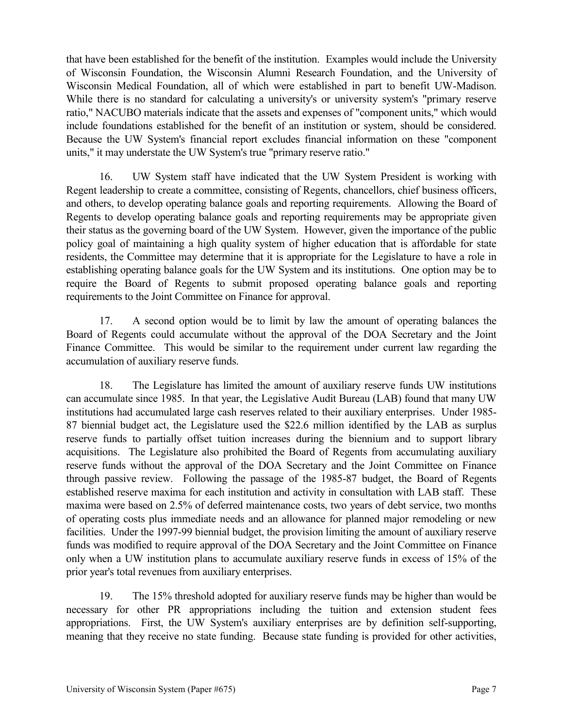that have been established for the benefit of the institution. Examples would include the University of Wisconsin Foundation, the Wisconsin Alumni Research Foundation, and the University of Wisconsin Medical Foundation, all of which were established in part to benefit UW-Madison. While there is no standard for calculating a university's or university system's "primary reserve ratio," NACUBO materials indicate that the assets and expenses of "component units," which would include foundations established for the benefit of an institution or system, should be considered. Because the UW System's financial report excludes financial information on these "component units," it may understate the UW System's true "primary reserve ratio."

16. UW System staff have indicated that the UW System President is working with Regent leadership to create a committee, consisting of Regents, chancellors, chief business officers, and others, to develop operating balance goals and reporting requirements. Allowing the Board of Regents to develop operating balance goals and reporting requirements may be appropriate given their status as the governing board of the UW System. However, given the importance of the public policy goal of maintaining a high quality system of higher education that is affordable for state residents, the Committee may determine that it is appropriate for the Legislature to have a role in establishing operating balance goals for the UW System and its institutions. One option may be to require the Board of Regents to submit proposed operating balance goals and reporting requirements to the Joint Committee on Finance for approval.

17. A second option would be to limit by law the amount of operating balances the Board of Regents could accumulate without the approval of the DOA Secretary and the Joint Finance Committee. This would be similar to the requirement under current law regarding the accumulation of auxiliary reserve funds.

18. The Legislature has limited the amount of auxiliary reserve funds UW institutions can accumulate since 1985. In that year, the Legislative Audit Bureau (LAB) found that many UW institutions had accumulated large cash reserves related to their auxiliary enterprises. Under 1985- 87 biennial budget act, the Legislature used the \$22.6 million identified by the LAB as surplus reserve funds to partially offset tuition increases during the biennium and to support library acquisitions. The Legislature also prohibited the Board of Regents from accumulating auxiliary reserve funds without the approval of the DOA Secretary and the Joint Committee on Finance through passive review. Following the passage of the 1985-87 budget, the Board of Regents established reserve maxima for each institution and activity in consultation with LAB staff. These maxima were based on 2.5% of deferred maintenance costs, two years of debt service, two months of operating costs plus immediate needs and an allowance for planned major remodeling or new facilities. Under the 1997-99 biennial budget, the provision limiting the amount of auxiliary reserve funds was modified to require approval of the DOA Secretary and the Joint Committee on Finance only when a UW institution plans to accumulate auxiliary reserve funds in excess of 15% of the prior year's total revenues from auxiliary enterprises.

19. The 15% threshold adopted for auxiliary reserve funds may be higher than would be necessary for other PR appropriations including the tuition and extension student fees appropriations. First, the UW System's auxiliary enterprises are by definition self-supporting, meaning that they receive no state funding. Because state funding is provided for other activities,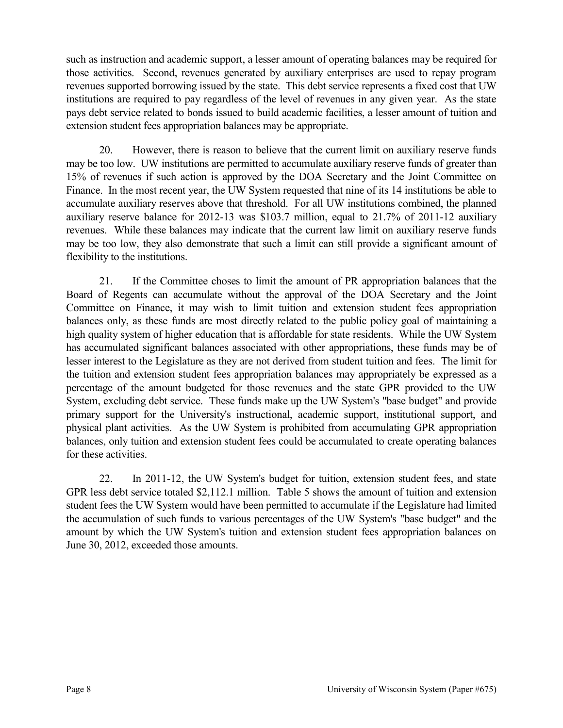such as instruction and academic support, a lesser amount of operating balances may be required for those activities. Second, revenues generated by auxiliary enterprises are used to repay program revenues supported borrowing issued by the state. This debt service represents a fixed cost that UW institutions are required to pay regardless of the level of revenues in any given year. As the state pays debt service related to bonds issued to build academic facilities, a lesser amount of tuition and extension student fees appropriation balances may be appropriate.

20. However, there is reason to believe that the current limit on auxiliary reserve funds may be too low. UW institutions are permitted to accumulate auxiliary reserve funds of greater than 15% of revenues if such action is approved by the DOA Secretary and the Joint Committee on Finance. In the most recent year, the UW System requested that nine of its 14 institutions be able to accumulate auxiliary reserves above that threshold. For all UW institutions combined, the planned auxiliary reserve balance for 2012-13 was \$103.7 million, equal to 21.7% of 2011-12 auxiliary revenues. While these balances may indicate that the current law limit on auxiliary reserve funds may be too low, they also demonstrate that such a limit can still provide a significant amount of flexibility to the institutions.

21. If the Committee choses to limit the amount of PR appropriation balances that the Board of Regents can accumulate without the approval of the DOA Secretary and the Joint Committee on Finance, it may wish to limit tuition and extension student fees appropriation balances only, as these funds are most directly related to the public policy goal of maintaining a high quality system of higher education that is affordable for state residents. While the UW System has accumulated significant balances associated with other appropriations, these funds may be of lesser interest to the Legislature as they are not derived from student tuition and fees. The limit for the tuition and extension student fees appropriation balances may appropriately be expressed as a percentage of the amount budgeted for those revenues and the state GPR provided to the UW System, excluding debt service. These funds make up the UW System's "base budget" and provide primary support for the University's instructional, academic support, institutional support, and physical plant activities. As the UW System is prohibited from accumulating GPR appropriation balances, only tuition and extension student fees could be accumulated to create operating balances for these activities.

22. In 2011-12, the UW System's budget for tuition, extension student fees, and state GPR less debt service totaled \$2,112.1 million. Table 5 shows the amount of tuition and extension student fees the UW System would have been permitted to accumulate if the Legislature had limited the accumulation of such funds to various percentages of the UW System's "base budget" and the amount by which the UW System's tuition and extension student fees appropriation balances on June 30, 2012, exceeded those amounts.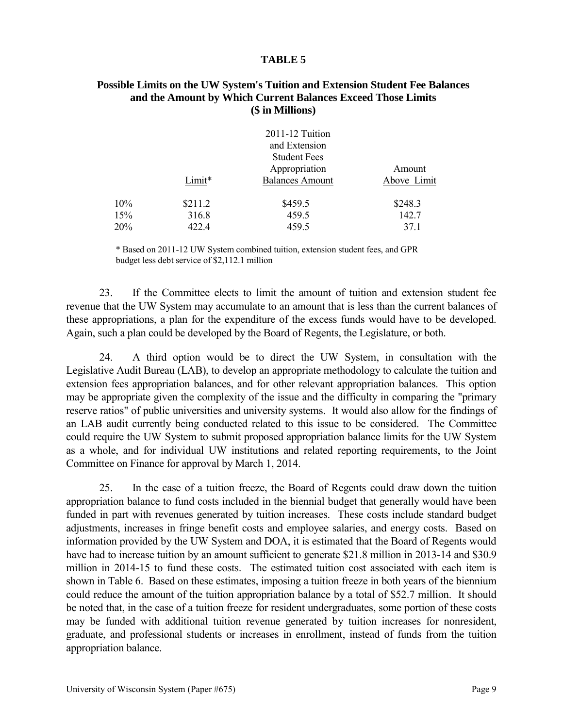#### **Possible Limits on the UW System's Tuition and Extension Student Fee Balances and the Amount by Which Current Balances Exceed Those Limits (\$ in Millions)**

|     |         | 2011-12 Tuition<br>and Extension                               |                       |
|-----|---------|----------------------------------------------------------------|-----------------------|
|     | Limit*  | <b>Student Fees</b><br>Appropriation<br><b>Balances Amount</b> | Amount<br>Above Limit |
| 10% | \$211.2 | \$459.5                                                        | \$248.3               |
| 15% | 316.8   | 459.5                                                          | 142.7                 |
| 20% | 422.4   | 459.5                                                          | 37.1                  |

\* Based on 2011-12 UW System combined tuition, extension student fees, and GPR budget less debt service of \$2,112.1 million

23. If the Committee elects to limit the amount of tuition and extension student fee revenue that the UW System may accumulate to an amount that is less than the current balances of these appropriations, a plan for the expenditure of the excess funds would have to be developed. Again, such a plan could be developed by the Board of Regents, the Legislature, or both.

24. A third option would be to direct the UW System, in consultation with the Legislative Audit Bureau (LAB), to develop an appropriate methodology to calculate the tuition and extension fees appropriation balances, and for other relevant appropriation balances. This option may be appropriate given the complexity of the issue and the difficulty in comparing the "primary reserve ratios" of public universities and university systems. It would also allow for the findings of an LAB audit currently being conducted related to this issue to be considered. The Committee could require the UW System to submit proposed appropriation balance limits for the UW System as a whole, and for individual UW institutions and related reporting requirements, to the Joint Committee on Finance for approval by March 1, 2014.

25. In the case of a tuition freeze, the Board of Regents could draw down the tuition appropriation balance to fund costs included in the biennial budget that generally would have been funded in part with revenues generated by tuition increases. These costs include standard budget adjustments, increases in fringe benefit costs and employee salaries, and energy costs. Based on information provided by the UW System and DOA, it is estimated that the Board of Regents would have had to increase tuition by an amount sufficient to generate \$21.8 million in 2013-14 and \$30.9 million in 2014-15 to fund these costs. The estimated tuition cost associated with each item is shown in Table 6. Based on these estimates, imposing a tuition freeze in both years of the biennium could reduce the amount of the tuition appropriation balance by a total of \$52.7 million. It should be noted that, in the case of a tuition freeze for resident undergraduates, some portion of these costs may be funded with additional tuition revenue generated by tuition increases for nonresident, graduate, and professional students or increases in enrollment, instead of funds from the tuition appropriation balance.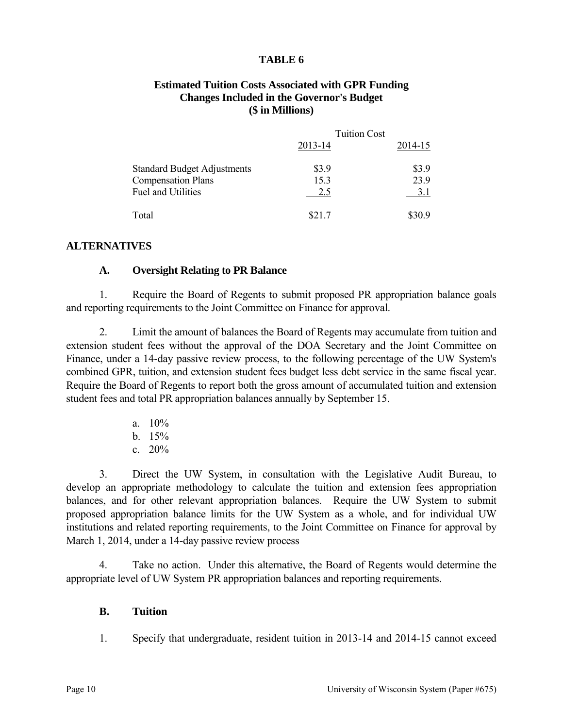### **Estimated Tuition Costs Associated with GPR Funding Changes Included in the Governor's Budget (\$ in Millions)**

|                                    | <b>Tuition Cost</b> |         |
|------------------------------------|---------------------|---------|
|                                    | 2013-14             | 2014-15 |
| <b>Standard Budget Adjustments</b> | \$3.9               | \$3.9   |
| <b>Compensation Plans</b>          | 15.3                | 23.9    |
| <b>Fuel and Utilities</b>          | 2.5                 | 3.1     |
| Total                              | \$21.7              | \$30.9  |

### **ALTERNATIVES**

### **A. Oversight Relating to PR Balance**

1. Require the Board of Regents to submit proposed PR appropriation balance goals and reporting requirements to the Joint Committee on Finance for approval.

2. Limit the amount of balances the Board of Regents may accumulate from tuition and extension student fees without the approval of the DOA Secretary and the Joint Committee on Finance, under a 14-day passive review process, to the following percentage of the UW System's combined GPR, tuition, and extension student fees budget less debt service in the same fiscal year. Require the Board of Regents to report both the gross amount of accumulated tuition and extension student fees and total PR appropriation balances annually by September 15.

- a.  $10\%$
- b.  $15%$
- c. 20%

3. Direct the UW System, in consultation with the Legislative Audit Bureau, to develop an appropriate methodology to calculate the tuition and extension fees appropriation balances, and for other relevant appropriation balances. Require the UW System to submit proposed appropriation balance limits for the UW System as a whole, and for individual UW institutions and related reporting requirements, to the Joint Committee on Finance for approval by March 1, 2014, under a 14-day passive review process

4. Take no action. Under this alternative, the Board of Regents would determine the appropriate level of UW System PR appropriation balances and reporting requirements.

#### **B. Tuition**

1. Specify that undergraduate, resident tuition in 2013-14 and 2014-15 cannot exceed